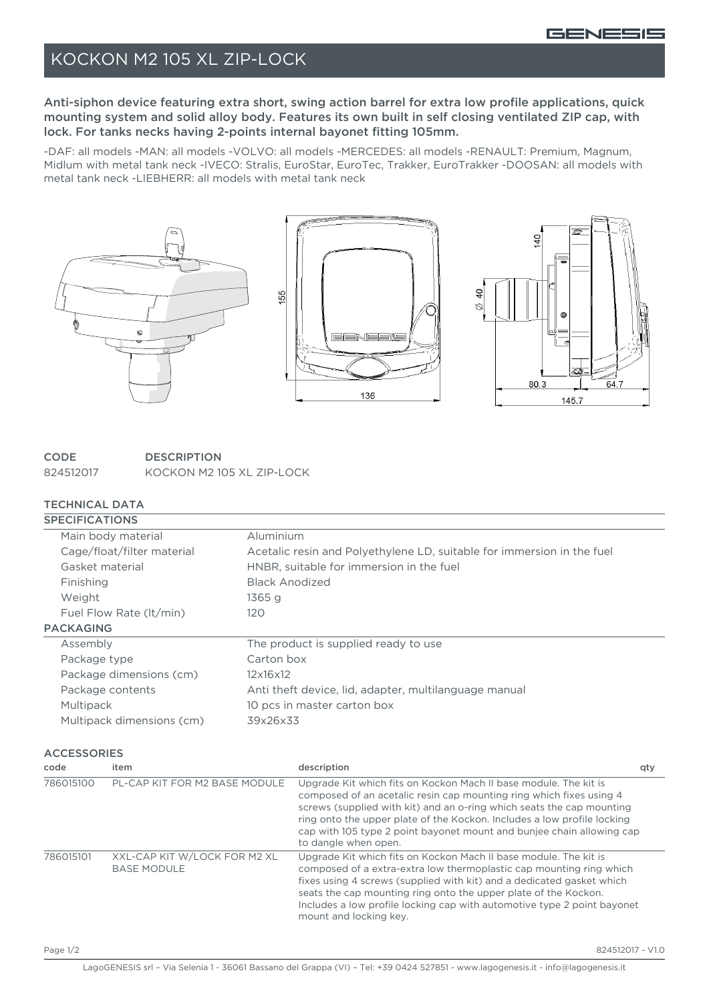### KOCKON M2 105 XL ZIP-LOCK

Anti-siphon device featuring extra short, swing action barrel for extra low profile applications, quick mounting system and solid alloy body. Features its own built in self closing ventilated ZIP cap, with lock. For tanks necks having 2-points internal bayonet fitting 105mm.

-DAF: all models -MAN: all models -VOLVO: all models -MERCEDES: all models -RENAULT: Premium, Magnum, Midlum with metal tank neck -IVECO: Stralis, EuroStar, EuroTec, Trakker, EuroTrakker -DOOSAN: all models with metal tank neck -LIEBHERR: all models with metal tank neck



#### **CODE DESCRIPTION** 824512017 KOCKON M2 105 XL ZIP-LOCK

### TECHNICAL DATA

| <b>SPECIFICATIONS</b>                                                |                               |                                                       |                                                                                                                                                                                                                                                                                                                                                                                              |     |                         |
|----------------------------------------------------------------------|-------------------------------|-------------------------------------------------------|----------------------------------------------------------------------------------------------------------------------------------------------------------------------------------------------------------------------------------------------------------------------------------------------------------------------------------------------------------------------------------------------|-----|-------------------------|
| Main body material                                                   |                               |                                                       | Aluminium                                                                                                                                                                                                                                                                                                                                                                                    |     |                         |
| Cage/float/filter material<br>Gasket material<br>Finishing<br>Weight |                               |                                                       | Acetalic resin and Polyethylene LD, suitable for immersion in the fuel<br>HNBR, suitable for immersion in the fuel                                                                                                                                                                                                                                                                           |     |                         |
|                                                                      |                               |                                                       |                                                                                                                                                                                                                                                                                                                                                                                              |     |                         |
|                                                                      |                               | <b>Black Anodized</b><br>1365q                        |                                                                                                                                                                                                                                                                                                                                                                                              |     |                         |
|                                                                      |                               |                                                       |                                                                                                                                                                                                                                                                                                                                                                                              |     | Fuel Flow Rate (It/min) |
| <b>PACKAGING</b>                                                     |                               |                                                       |                                                                                                                                                                                                                                                                                                                                                                                              |     |                         |
| Assembly                                                             |                               |                                                       | The product is supplied ready to use                                                                                                                                                                                                                                                                                                                                                         |     |                         |
| Package type                                                         |                               |                                                       | Carton box                                                                                                                                                                                                                                                                                                                                                                                   |     |                         |
| Package dimensions (cm)                                              |                               | 12x16x12                                              |                                                                                                                                                                                                                                                                                                                                                                                              |     |                         |
| Package contents                                                     |                               | Anti theft device, lid, adapter, multilanguage manual |                                                                                                                                                                                                                                                                                                                                                                                              |     |                         |
| Multipack                                                            |                               |                                                       | 10 pcs in master carton box                                                                                                                                                                                                                                                                                                                                                                  |     |                         |
| Multipack dimensions (cm)                                            |                               |                                                       | 39x26x33                                                                                                                                                                                                                                                                                                                                                                                     |     |                         |
| <b>ACCESSORIES</b>                                                   |                               |                                                       |                                                                                                                                                                                                                                                                                                                                                                                              |     |                         |
| code                                                                 | item                          |                                                       | description                                                                                                                                                                                                                                                                                                                                                                                  | qty |                         |
| 786015100                                                            | PL-CAP KIT FOR M2 BASE MODULE |                                                       | Upgrade Kit which fits on Kockon Mach II base module. The kit is<br>composed of an acetalic resin cap mounting ring which fixes using 4<br>screws (supplied with kit) and an o-ring which seats the cap mounting<br>ring onto the upper plate of the Kockon. Includes a low profile locking<br>cap with 105 type 2 point bayonet mount and bunjee chain allowing cap<br>to dangle when open. |     |                         |
| XXL-CAP KIT W/LOCK FOR M2 XL<br>786015101<br><b>BASE MODULE</b>      |                               |                                                       | Upgrade Kit which fits on Kockon Mach II base module. The kit is<br>composed of a extra-extra low thermoplastic cap mounting ring which<br>fixes using 4 screws (supplied with kit) and a dedicated gasket which<br>seats the cap mounting ring onto the upper plate of the Kockon.<br>Includes a low profile locking cap with automotive type 2 point bayonet<br>mount and locking key.     |     |                         |